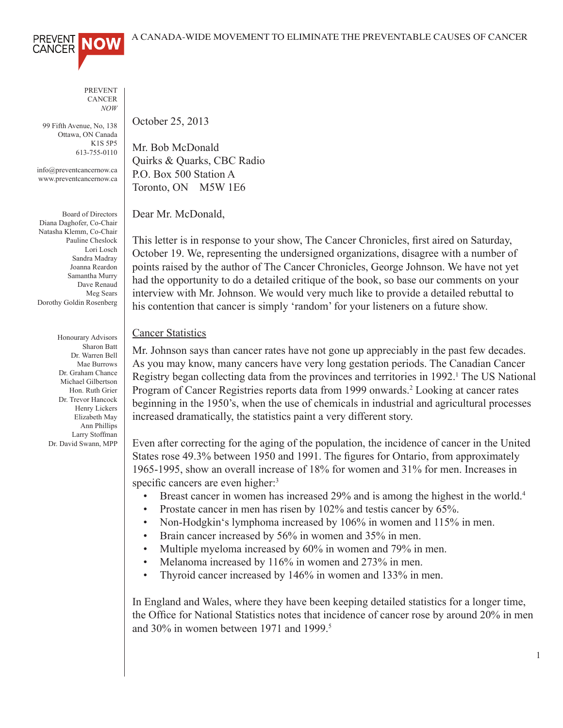

PREVENT **CANCER** *NOW*

99 Fifth Avenue, No, 138 Ottawa, ON Canada K1S 5P5 613-755-0110

info@preventcancernow.ca www.preventcancernow.ca

Board of Directors Diana Daghofer, Co-Chair Natasha Klemm, Co-Chair Pauline Cheslock Lori Losch Sandra Madray Joanna Reardon Samantha Murry Dave Renaud Meg Sears Dorothy Goldin Rosenberg

> Honourary Advisors Sharon Batt Dr. Warren Bell Mae Burrows Dr. Graham Chance Michael Gilbertson Hon. Ruth Grier Dr. Trevor Hancock Henry Lickers Elizabeth May Ann Phillips Larry Stoffman Dr. David Swann, MPP

October 25, 2013

Mr. Bob McDonald Quirks & Quarks, CBC Radio P.O. Box 500 Station A Toronto, ON M5W 1E6

Dear Mr. McDonald,

This letter is in response to your show, The Cancer Chronicles, first aired on Saturday, October 19. We, representing the undersigned organizations, disagree with a number of points raised by the author of The Cancer Chronicles, George Johnson. We have not yet had the opportunity to do a detailed critique of the book, so base our comments on your interview with Mr. Johnson. We would very much like to provide a detailed rebuttal to his contention that cancer is simply 'random' for your listeners on a future show.

## **Cancer Statistics**

Mr. Johnson says than cancer rates have not gone up appreciably in the past few decades. As you may know, many cancers have very long gestation periods. The Canadian Cancer Registry began collecting data from the provinces and territories in 1992.<sup>1</sup> The US National Program of Cancer Registries reports data from 1999 onwards.<sup>2</sup> Looking at cancer rates beginning in the 1950's, when the use of chemicals in industrial and agricultural processes increased dramatically, the statistics paint a very different story.

Even after correcting for the aging of the population, the incidence of cancer in the United States rose 49.3% between 1950 and 1991. The figures for Ontario, from approximately 1965-1995, show an overall increase of 18% for women and 31% for men. Increases in specific cancers are even higher:<sup>3</sup>

- Breast cancer in women has increased 29% and is among the highest in the world.<sup>4</sup>
- Prostate cancer in men has risen by 102% and testis cancer by 65%.
- Non-Hodgkin's lymphoma increased by 106% in women and 115% in men.
- Brain cancer increased by 56% in women and 35% in men.
- Multiple myeloma increased by 60% in women and 79% in men.
- Melanoma increased by 116% in women and 273% in men.
- Thyroid cancer increased by 146% in women and 133% in men.

In England and Wales, where they have been keeping detailed statistics for a longer time, the Office for National Statistics notes that incidence of cancer rose by around 20% in men and 30% in women between 1971 and 1999.<sup>5</sup>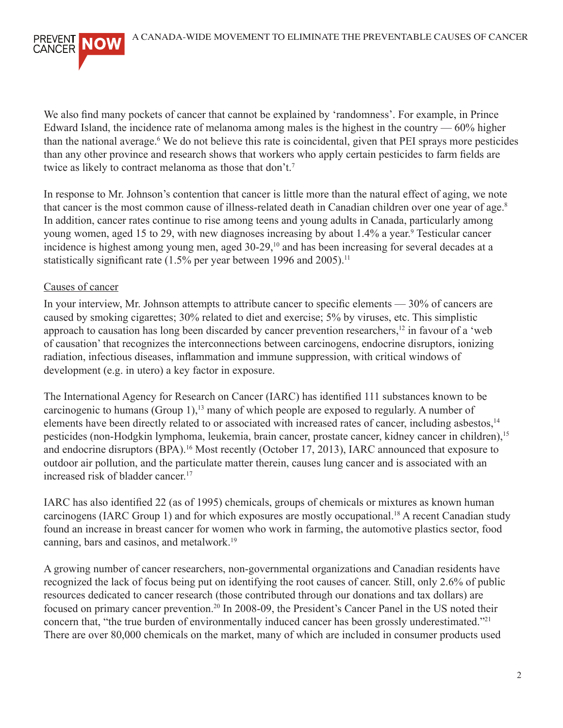

We also find many pockets of cancer that cannot be explained by 'randomness'. For example, in Prince Edward Island, the incidence rate of melanoma among males is the highest in the country — 60% higher than the national average.<sup>6</sup> We do not believe this rate is coincidental, given that PEI sprays more pesticides than any other province and research shows that workers who apply certain pesticides to farm fields are twice as likely to contract melanoma as those that don't.7

In response to Mr. Johnson's contention that cancer is little more than the natural effect of aging, we note that cancer is the most common cause of illness-related death in Canadian children over one year of age.<sup>8</sup> In addition, cancer rates continue to rise among teens and young adults in Canada, particularly among young women, aged 15 to 29, with new diagnoses increasing by about 1.4% a year.<sup>9</sup> Testicular cancer incidence is highest among young men, aged 30-29,<sup>10</sup> and has been increasing for several decades at a statistically significant rate (1.5% per year between 1996 and 2005).<sup>11</sup>

## Causes of cancer

In your interview, Mr. Johnson attempts to attribute cancer to specific elements — 30% of cancers are caused by smoking cigarettes; 30% related to diet and exercise; 5% by viruses, etc. This simplistic approach to causation has long been discarded by cancer prevention researchers,12 in favour of a 'web of causation' that recognizes the interconnections between carcinogens, endocrine disruptors, ionizing radiation, infectious diseases, inflammation and immune suppression, with critical windows of development (e.g. in utero) a key factor in exposure.

The International Agency for Research on Cancer (IARC) has identified 111 substances known to be carcinogenic to humans (Group 1), $^{13}$  many of which people are exposed to regularly. A number of elements have been directly related to or associated with increased rates of cancer, including asbestos,<sup>14</sup> pesticides (non-Hodgkin lymphoma, leukemia, brain cancer, prostate cancer, kidney cancer in children),<sup>15</sup> and endocrine disruptors (BPA).<sup>16</sup> Most recently (October 17, 2013), IARC announced that exposure to outdoor air pollution, and the particulate matter therein, causes lung cancer and is associated with an increased risk of bladder cancer.<sup>17</sup>

IARC has also identified 22 (as of 1995) chemicals, groups of chemicals or mixtures as known human carcinogens (IARC Group 1) and for which exposures are mostly occupational.<sup>18</sup> A recent Canadian study found an increase in breast cancer for women who work in farming, the automotive plastics sector, food canning, bars and casinos, and metalwork.19

A growing number of cancer researchers, non-governmental organizations and Canadian residents have recognized the lack of focus being put on identifying the root causes of cancer. Still, only 2.6% of public resources dedicated to cancer research (those contributed through our donations and tax dollars) are focused on primary cancer prevention.20 In 2008-09, the President's Cancer Panel in the US noted their concern that, "the true burden of environmentally induced cancer has been grossly underestimated."<sup>21</sup> There are over 80,000 chemicals on the market, many of which are included in consumer products used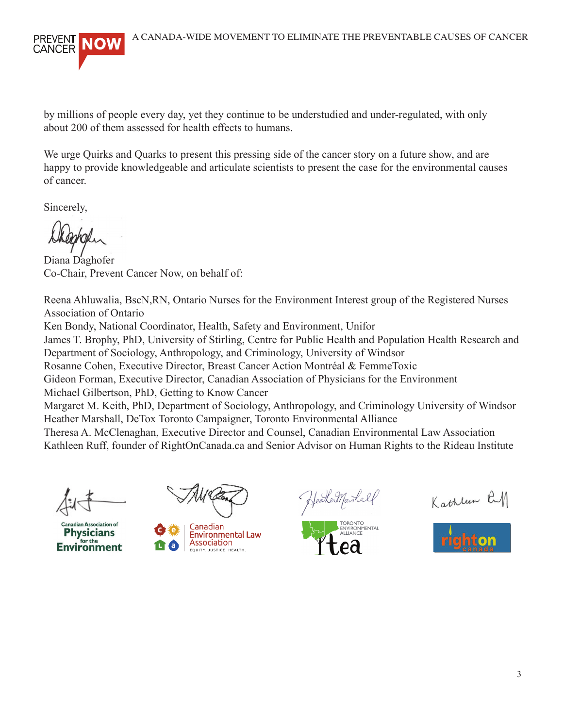

by millions of people every day, yet they continue to be understudied and under-regulated, with only about 200 of them assessed for health effects to humans.

We urge Quirks and Quarks to present this pressing side of the cancer story on a future show, and are happy to provide knowledgeable and articulate scientists to present the case for the environmental causes of cancer.

Sincerely,

Diana Daghofer Co-Chair, Prevent Cancer Now, on behalf of:

Reena Ahluwalia, BscN,RN, Ontario Nurses for the Environment Interest group of the Registered Nurses Association of Ontario

Ken Bondy, National Coordinator, Health, Safety and Environment, Unifor

James T. Brophy, PhD, University of Stirling, Centre for Public Health and Population Health Research and Department of Sociology, Anthropology, and Criminology, University of Windsor

Rosanne Cohen, Executive Director, Breast Cancer Action Montréal & FemmeToxic

Gideon Forman, Executive Director, Canadian Association of Physicians for the Environment

Michael Gilbertson, PhD, Getting to Know Cancer

Margaret M. Keith, PhD, Department of Sociology, Anthropology, and Criminology University of Windsor Heather Marshall, DeTox Toronto Campaigner, Toronto Environmental Alliance

Theresa A. McClenaghan, Executive Director and Counsel, Canadian Environmental Law Association Kathleen Ruff, founder of RightOnCanada.ca and Senior Advisor on Human Rights to the Rideau Institute

ciation of **Environment** 



Canadian **Environmental Law** Association EQUITY. JUSTICE. HEALTH

YeaheMarkalf

ONTO ENVIRONMENTAL

Kathleen RM